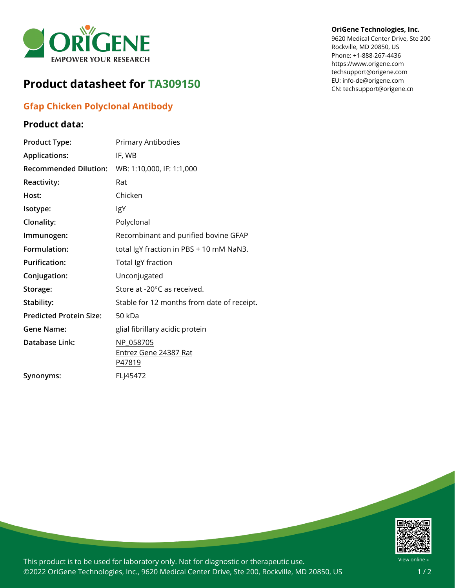

## **Product datasheet for TA309150**

## **Gfap Chicken Polyclonal Antibody**

**Product Type:** Primary Antibodies

**Recommended Dilution:** WB: 1:10,000, IF: 1:1,000

**Immunogen:** Recombinant and purified bovine GFAP **Formulation:** total IgY fraction in PBS + 10 mM NaN3.

Stability: Stable for 12 months from date of receipt.

[Entrez](https://www.ncbi.nlm.nih.gov/gene?cmd=Retrieve&dopt=Graphics&list_uids=24387) Gene 24387 Rat

**Applications:** IF, WB

**Reactivity:** Rat

**Isotype:** IgY

**Host:** Chicken

**Clonality:** Polyclonal

**Predicted Protein Size:** 50 kDa

**Database Link:** [NP\\_058705](https://www.ncbi.nlm.nih.gov/protein/NP_058705)

**Synonyms:** FLJ45472

**Purification:** Total IgY fraction **Conjugation:** Unconjugated

Storage: Store at -20°C as received.

**Gene Name:** glial fibrillary acidic protein

[P47819](https://www.uniprot.org/uniprot/P47819)

## **Product data:**

**OriGene Technologies, Inc.**

9620 Medical Center Drive, Ste 200 Rockville, MD 20850, US Phone: +1-888-267-4436 https://www.origene.com techsupport@origene.com EU: info-de@origene.com CN: techsupport@origene.cn

| ч                       |
|-------------------------|
| $\overline{u}$ $\alpha$ |

This product is to be used for laboratory only. Not for diagnostic or therapeutic use. ©2022 OriGene Technologies, Inc., 9620 Medical Center Drive, Ste 200, Rockville, MD 20850, US